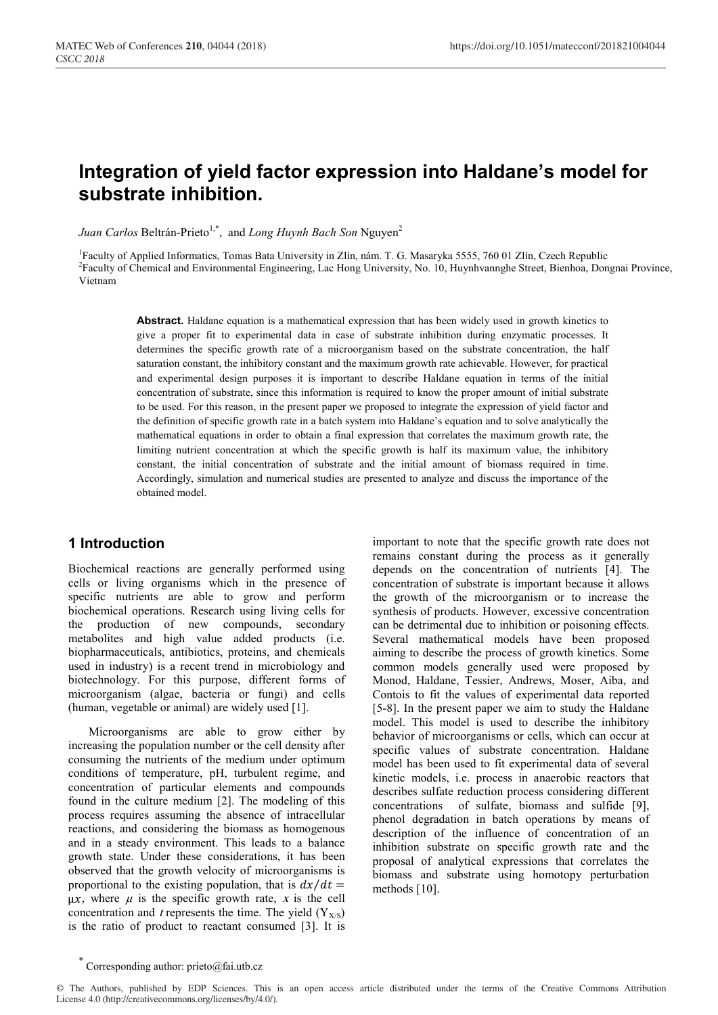# **Integration of yield factor expression into Haldane's model for substrate inhibition.**

*Juan Carlos* Beltrán-Prieto<sup>1,\*</sup>, and *Long Huynh Bach Son* Nguyen<sup>2</sup>

<sup>1</sup>Faculty of Applied Informatics, Tomas Bata University in Zlín, nám. T. G. Masaryka 5555, 760 01 Zlín, Czech Republic <sup>2</sup> Faculty of Chemical and Environmental Engineering, Lac Hong University, No. 10, Huynhvannghe Street, Bienhoa, Dongnai Province, Vietnam

**Abstract.** Haldane equation is a mathematical expression that has been widely used in growth kinetics to give a proper fit to experimental data in case of substrate inhibition during enzymatic processes. It determines the specific growth rate of a microorganism based on the substrate concentration, the half saturation constant, the inhibitory constant and the maximum growth rate achievable. However, for practical and experimental design purposes it is important to describe Haldane equation in terms of the initial concentration of substrate, since this information is required to know the proper amount of initial substrate to be used. For this reason, in the present paper we proposed to integrate the expression of yield factor and the definition of specific growth rate in a batch system into Haldane's equation and to solve analytically the mathematical equations in order to obtain a final expression that correlates the maximum growth rate, the limiting nutrient concentration at which the specific growth is half its maximum value, the inhibitory constant, the initial concentration of substrate and the initial amount of biomass required in time. Accordingly, simulation and numerical studies are presented to analyze and discuss the importance of the obtained model.

## **1 Introduction**

Biochemical reactions are generally performed using cells or living organisms which in the presence of specific nutrients are able to grow and perform biochemical operations. Research using living cells for the production of new compounds, secondary metabolites and high value added products (i.e. biopharmaceuticals, antibiotics, proteins, and chemicals used in industry) is a recent trend in microbiology and biotechnology. For this purpose, different forms of microorganism (algae, bacteria or fungi) and cells (human, vegetable or animal) are widely used [1].

Microorganisms are able to grow either by increasing the population number or the cell density after consuming the nutrients of the medium under optimum conditions of temperature, pH, turbulent regime, and concentration of particular elements and compounds found in the culture medium [2]. The modeling of this process requires assuming the absence of intracellular reactions, and considering the biomass as homogenous and in a steady environment. This leads to a balance growth state. Under these considerations, it has been observed that the growth velocity of microorganisms is proportional to the existing population, that is  $dx/dt =$  $\mu x$ , where  $\mu$  is the specific growth rate, x is the cell concentration and *t* represents the time. The yield  $(Y_{X/S})$ is the ratio of product to reactant consumed [3]. It is

important to note that the specific growth rate does not remains constant during the process as it generally depends on the concentration of nutrients [4]. The concentration of substrate is important because it allows the growth of the microorganism or to increase the synthesis of products. However, excessive concentration can be detrimental due to inhibition or poisoning effects. Several mathematical models have been proposed aiming to describe the process of growth kinetics. Some common models generally used were proposed by Monod, Haldane, Tessier, Andrews, Moser, Aiba, and Contois to fit the values of experimental data reported [5-8]. In the present paper we aim to study the Haldane model. This model is used to describe the inhibitory behavior of microorganisms or cells, which can occur at specific values of substrate concentration. Haldane model has been used to fit experimental data of several kinetic models, i.e. process in anaerobic reactors that describes sulfate reduction process considering different concentrations of sulfate, biomass and sulfide [9], phenol degradation in batch operations by means of description of the influence of concentration of an inhibition substrate on specific growth rate and the proposal of analytical expressions that correlates the biomass and substrate using homotopy perturbation methods [10].

Corresponding author:  $price@fai.uth.cz$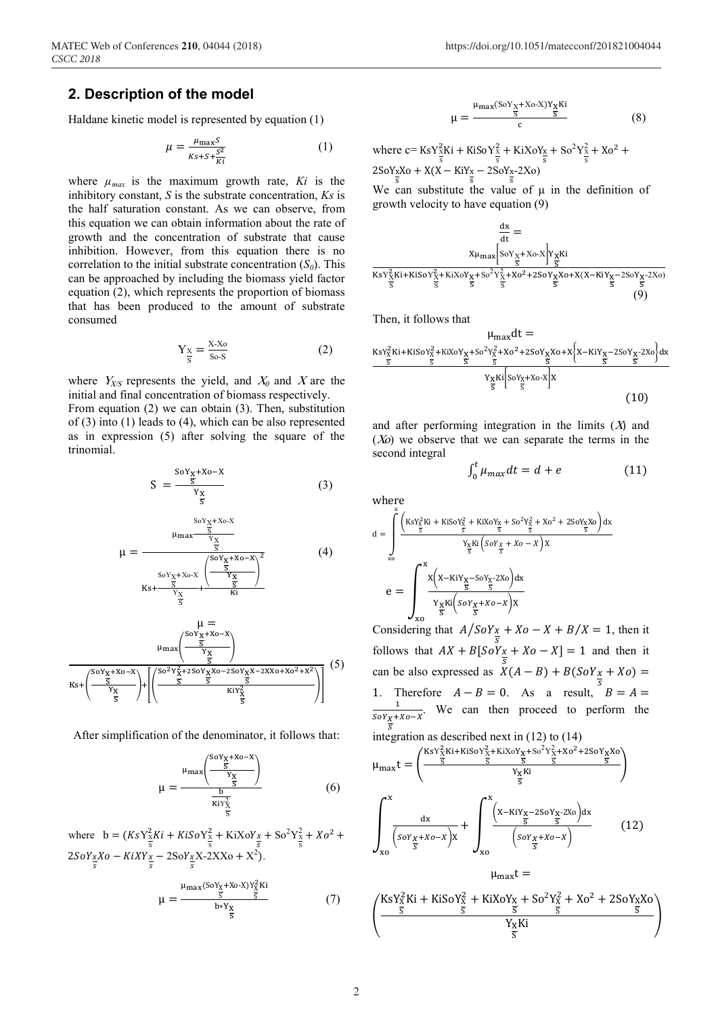#### **2. Description of the model**

Haldane kinetic model is represented by equation (1)

$$
\mu = \frac{\mu_{\text{max}}S}{\kappa_{s+S+\frac{S^2}{Ki}}} \tag{1}
$$

where  $\mu_{max}$  is the maximum growth rate,  $Ki$  is the inhibitory constant, *S* is the substrate concentration, *Ks* is the half saturation constant. As we can observe, from this equation we can obtain information about the rate of growth and the concentration of substrate that cause inhibition. However, from this equation there is no correlation to the initial substrate concentration  $(S_0)$ . This can be approached by including the biomass yield factor equation (2), which represents the proportion of biomass that has been produced to the amount of substrate consumed

$$
Y_{\frac{x}{s}} = \frac{X \cdot X_0}{S_0 \cdot S} \tag{2}
$$

where  $Y_{X/S}$  represents the yield, and  $X_0$  and X are the initial and final concentration of biomass respectively. From equation (2) we can obtain (3). Then, substitution of (3) into (1) leads to (4), which can be also represented as in expression (5) after solving the square of the trinomial.

$$
S = \frac{\frac{\text{SOY}_{X} + Xo - X}{\overline{S}}}{\frac{Y_{X}}{\overline{S}}} \tag{3}
$$

$$
\mu = \frac{\frac{\text{SoY}_{X} + \text{Xo-X}}{\frac{X}{S}}}{\frac{\text{SoY}_{X} + \text{Xo-X}}{\frac{\text{SoY}_{X} + \text{Xo-X}}{\frac{\text{X}}{\frac{\text{X}}{\frac{\text{X}}{\frac{\text{X}}{\frac{\text{X}}{\frac{\text{X}}{\frac{\text{X}}{\frac{\text{X}}{\frac{\text{X}}{\frac{\text{X}}{\frac{\text{X}}{\frac{\text{X}}{\frac{\text{X}}{\frac{\text{X}}{\frac{\text{X}}{\frac{\text{X}}{\frac{\text{X}}{\frac{\text{X}}{\frac{\text{X}}{\frac{\text{X}}{\frac{\text{X}}{\frac{\text{X}}{\frac{\text{X}}{\frac{\text{X}}{\frac{\text{X}}{\frac{\text{X}}{\frac{\text{X}}{\frac{\text{X}}{\frac{\text{X}}{\frac{\text{X}}{\frac{\text{X}}{\frac{\text{X}}{\frac{\text{X}}{\frac{\text{X}}{\frac{\text{X}}{\frac{\text{X}}{\frac{\text{X}}{\frac{\text{X}}{\frac{\text{X}}{\frac{\text{X}}{\frac{\text{X}}{\frac{\text{X}}{\frac{\text{X}}{\frac{\text{X}}{\frac{\text{X}}{\frac{\text{X}}{\frac{\text{X}}{\frac{\text{X}}{\frac{\text{X}}{\frac{\text{X}}{\frac{\text{X}}{\frac{\text{X}}{\frac{\text{X}}{\frac{\text{X}}{\frac{\frac{\text{X}}{\frac{\text{X}}{\frac{\text{X}}{\frac{\text{X}}{\frac{\frac{\text{X}}{\frac{\text{X}}{\frac{\text{X}}{\frac{\frac{\text{X}}{\frac{\text{X}}{\frac{\text{X}}{\frac{\text{X}}{\frac{\text{X}}{\frac{\frac{\text{X}}{\frac{\text{X}}{\frac{\text{X}}{\frac{\text{X}}{\frac{\text{X}}{\frac{\text{X}}{\frac{\text{X}}{\frac{\text{X}}{\frac{\text{X}}{\frac{\text{X}}{\frac{\text{X}}{\frac{\text{X}}{\frac{\frac{\text{X}}{\frac{\text{X}}{\frac{\frac{\text{X}}{\frac{\text{X}}{\frac{\frac{\text{X}}{\frac{\frac{\text{X}}{\frac{\text{X}}{\frac{\frac{\text{X}}{\frac{\frac{\text{X}}{\frac{\frac{\text{X}}{\frac{\text{X}}{\frac{\frac{\text{X}}{\frac{\text{X}}{\frac{\frac{\text{X}}{\frac{\frac{\text{X}}{\frac{\frac{\text{X}}{\frac{\frac{\
$$

$$
\mu = \mu_{\max} \left( \frac{\frac{\text{Sov}_{X} + X_0 - X}{\overline{S}}}{\frac{Y_X}{\overline{S}}} \right)
$$
\n
$$
\overline{\text{Ks}} + \left( \frac{\frac{\text{Sov}_{X} + X_0 - X}{\overline{S}}}{\frac{Y_X}{\overline{S}}} \right) + \left( \frac{\frac{\text{Sov}_{X} + X_0 - X_0}{\overline{S}}}{\frac{\overline{S}}{\overline{S}}} \frac{\overline{S}}{\overline{S}} \frac{\overline{S}}{\overline{S}}} \right)
$$
\n
$$
(5)
$$

After simplification of the denominator, it follows that:

$$
\mu = \frac{\mu_{\text{max}} \left( \frac{s \cdot v_{\text{X}} + x \cdot \sigma - x}{\frac{S}{s}} \right)}{\frac{b}{\text{Ki} v_{\text{X}}^2}}
$$
(6)

where  $b = (KsY_{\frac{x}{s}}^2)$  $\frac{2}{8}Ki + KiSoY_{\frac{x}{s}}^2 + KiXoY_{\frac{x}{s}} + So^2Y_{\frac{x}{s}}^2 + Xo^2 +$  $2SoY_xXo - KiXY_x - 2SoY_xX - 2XXo + X^2$ .

$$
\mu = \frac{\mu_{\max}(\text{SoY}_X + \text{Xo-X})\text{Y}_X^2 \text{Ki}}{\frac{S}{\text{B} + \text{Y}_X} \cdot \frac{S}{\text{B}}}
$$
(7)

$$
\mu = \frac{\mu_{\text{max}}(\text{SoY}_X + \text{Xo-X})\text{Y}_X\text{Ki}}{c} \tag{8}
$$

where  $c = KsY_{\frac{x}{s}}^2$  $\frac{2}{8}$ Ki + KiSoY $\frac{2}{8}$  + KiXoY<sub>x</sub> + So<sup>2</sup>Y<sub> $\frac{2}{8}$ </sub> + Xo<sup>2</sup> +  $2\text{SoY}_xX_0 + X(X - KiY_x - 2S_0Y_x - 2X_0)$ 

We can substitute the value of  $\mu$  in the definition of growth velocity to have equation (9)

$$
\frac{dx}{dt} = \frac{x_{\mu_{max}} \left[ so_{X+}x_{0} - x \right] x_{X} K i}{x_{S} x_{X}^2 K i + K i S o_{X}^2 + K i X o_{X} x + S o^2 x_{X}^2 + X o^2 + 2 S o_{X} x_{X} o + X (X - K i Y_{X} - 2 S o_{X} x - 2 X o)}{\frac{x}{S}}}{(9)}
$$

Then, it follows that

$$
\mu_{\text{max}} dt =
$$
\n
$$
\frac{\kappa s Y_{X}^{2} K i + K i S o Y_{X}^{2} + K i X o Y_{X} + S o^{2} Y_{X}^{2} + X o^{2} + 2 S o Y_{X} X o + X \left\{ X - K i Y_{X} - 2 S o Y_{X} - 2 X o \right\} dx}{\frac{S}{S} \frac{S}{S} \frac{S}{S} \frac{S}{S} \left\{ S o Y_{X} + X o - X \right\} X}
$$
\n(10)

and after performing integration in the limits  $(X)$  and  $(X<sub>0</sub>)$  we observe that we can separate the terms in the second integral

$$
\int_0^t \mu_{max} dt = d + e \tag{11}
$$

where

$$
d = \int_{x_0}^{x} \frac{\left(K s Y_{\frac{x}{S}}^{2} K i + K i S o Y_{\frac{x}{S}}^{2} + K i X o Y_{\frac{x}{S}} + S o^{2} Y_{\frac{x}{S}}^{2} + X o^{2} + 2 S o Y_{\frac{x}{S}} X o\right) dx}{Y_{\frac{x}{S}} K i \left(S o Y_{\frac{x}{S}} + X o - X\right) X}
$$

$$
e = \int_{x_0}^{x} \frac{x \left(X - K i Y_{\frac{x}{S}} - S o Y_{\frac{x}{S}} - 2 X o\right) dx}{Y_{\frac{x}{S}} K i \left(S o Y_{\frac{x}{S}} + X o - X\right) X}
$$

Considering that  $A/SoY_{\frac{x}{s}} + Xo - X + B/X = 1$ , then it follows that  $AX + B[SoY_{\frac{X}{2}} + Xo - X] = 1$  and then it can be also expressed as  $\overline{X(A - B) + B(SoY_{\frac{x}{2}} + Xo)}$  = 1. Therefore  $A - B = 0$ . As a result,  $B = A =$ 1. Therefore  $A - B = 0$ . As a result,  $B = A =$ <br> $\frac{1}{1}$  We can then proceed to perform the  $\frac{1}{50Y_X+X0-X}$ . We can then proceed to perform the

integration as described next in  $(12)$  to  $(14)$ 

$$
\mu_{\text{max}}t = \left(\frac{\frac{KsY_{X}^{2}Ki + KiSoY_{X}^{2} + KiXoY_{X} + So^{2}Y_{X}^{2} + Xo^{2} + 2SoY_{X}Xo}{\frac{S}{S}}}{\frac{Y_{X}Ki}{S}}\right)
$$
\n
$$
\int_{x_{0}}^{x} \frac{dx}{\left(\frac{SoY_{X} + Xo - X}{S}\right)x} + \int_{x_{0}}^{x} \frac{\left(x - KiY_{X} - 2SoY_{X} - 2Xo\right)dx}{\left(\frac{SoY_{X} + Xo - X}{S}\right)} \qquad (12)
$$

$$
\int_{xo} \frac{(s\sigma Y_{X} + xo - X)X}{\overline{s}} \int_{xo} \frac{(s\sigma Y_{X} + xo - X)}{\overline{s}}
$$
  

$$
\mu_{max}t =
$$
  

$$
\left(\frac{KsY_{X}^{2}Ki + KiSoY_{X}^{2} + KiXoY_{X} + So^{2}Y_{X}^{2} + Xo^{2} + 2SoY_{X}Xo}{\overline{s}}\right)
$$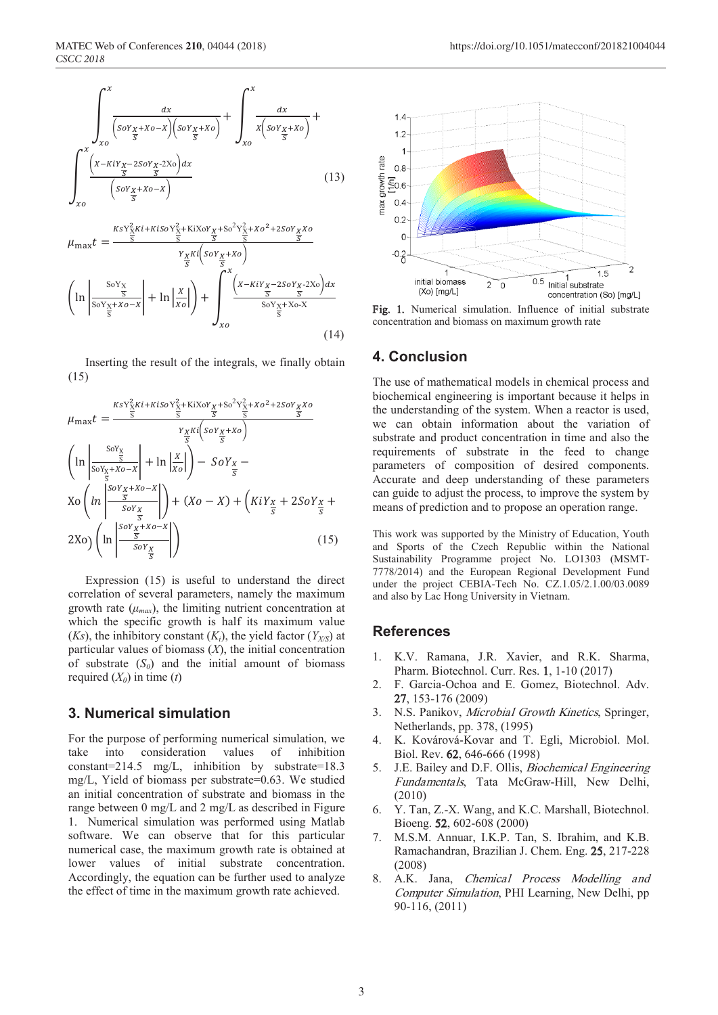



Inserting the result of the integrals, we finally obtain (15)

$$
\mu_{\max}t = \frac{\frac{KsY_X^2Ki + K\text{i}SoY_X^2 + K\text{i}XoY_X + So^2Y_X^2 + Xo^2 + 2SoY_XXo}{\frac{S}{S}}}{\frac{Y_XKi\left(SoY_X + Xo\right)}{\frac{S}{S}}}
$$
\n
$$
\left(\ln\left|\frac{\frac{SoY_X}{S}}{\frac{SoY_X + Xo - X}{\frac{S}{S}}} \right| + \ln\left|\frac{X}{Xo}\right|\right) - SoY_X - \frac{\left(SoY_X + Xo - X\right)}{\frac{S}{S}} + \left(Xo - X\right) + \left(KiY_X + 2SoY_X + \frac{\left(SoY_X + Xo - X\right)}{\frac{S}{S}}\right) + \left(Xo - X\right) + \left(KiY_X + 2SoY_X + \frac{\left(SoY_X + Xo - X\right)}{\frac{S}{S}}\right) \tag{15}
$$

Expression (15) is useful to understand the direct correlation of several parameters, namely the maximum growth rate  $(\mu_{max})$ , the limiting nutrient concentration at which the specific growth is half its maximum value (*Ks*), the inhibitory constant (*K<sub>i</sub>*), the yield factor (*Y<sub>X/S</sub>*) at particular values of biomass (*X*), the initial concentration of substrate  $(S_0)$  and the initial amount of biomass required  $(X_0)$  in time  $(t)$ 

### **3. Numerical simulation**

For the purpose of performing numerical simulation, we take into consideration values of inhibition constant=214.5 mg/L, inhibition by substrate=18.3 mg/L, Yield of biomass per substrate=0.63. We studied an initial concentration of substrate and biomass in the range between 0 mg/L and 2 mg/L as described in Figure 1. Numerical simulation was performed using Matlab software. We can observe that for this particular numerical case, the maximum growth rate is obtained at lower values of initial substrate concentration. Accordingly, the equation can be further used to analyze the effect of time in the maximum growth rate achieved.



Fig. 1. Numerical simulation. Influence of initial substrate concentration and biomass on maximum growth rate

### **4. Conclusion**

The use of mathematical models in chemical process and biochemical engineering is important because it helps in the understanding of the system. When a reactor is used, we can obtain information about the variation of substrate and product concentration in time and also the requirements of substrate in the feed to change parameters of composition of desired components. Accurate and deep understanding of these parameters can guide to adjust the process, to improve the system by means of prediction and to propose an operation range.

This work was supported by the Ministry of Education, Youth and Sports of the Czech Republic within the National Sustainability Programme project No. LO1303 (MSMT-7778/2014) and the European Regional Development Fund under the project CEBIA-Tech No. CZ.1.05/2.1.00/03.0089 and also by Lac Hong University in Vietnam.

### **References**

- 1. K.V. Ramana, J.R. Xavier, and R.K. Sharma, Pharm. Biotechnol. Curr. Res. 1, 1-10 (2017)
- 2. F. Garcia-Ochoa and E. Gomez, Biotechnol. Adv. 27, 153-176 (2009)
- 3. N.S. Panikov, Microbial Growth Kinetics, Springer, Netherlands, pp. 378, (1995)
- 4. K. Kovárová-Kovar and T. Egli, Microbiol. Mol. Biol. Rev. 62, 646-666 (1998)
- 5. J.E. Bailey and D.F. Ollis, Biochemical Engineering Fundamentals, Tata McGraw-Hill, New Delhi, (2010)
- 6. Y. Tan, Z.-X. Wang, and K.C. Marshall, Biotechnol. Bioeng. 52, 602-608 (2000)
- 7. M.S.M. Annuar, I.K.P. Tan, S. Ibrahim, and K.B. Ramachandran, Brazilian J. Chem. Eng. 25, 217-228 (2008)
- 8. A.K. Jana, Chemical Process Modelling and Computer Simulation, PHI Learning, New Delhi, pp 90-116, (2011)